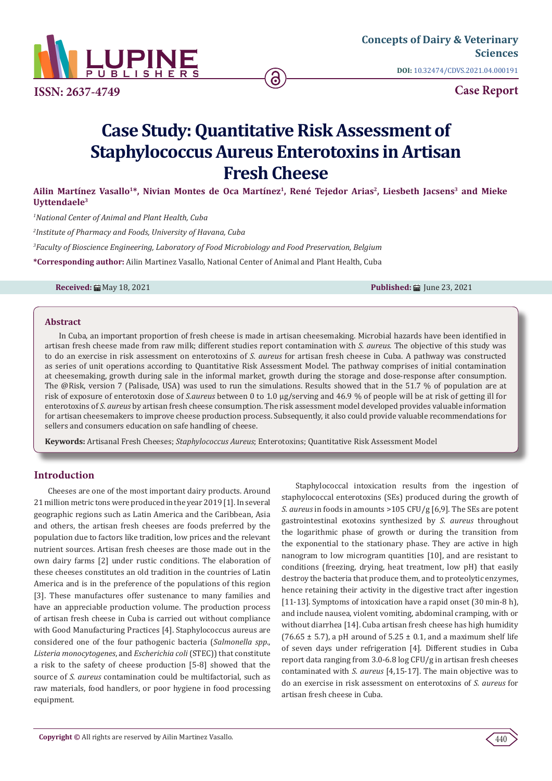

**ISSN: 2637-4749**

**Case Report**

# **Case Study: Quantitative Risk Assessment of Staphylococcus Aureus Enterotoxins in Artisan Fresh Cheese**

Ailin Martínez Vasallo<sup>1\*</sup>, Nivian Montes de Oca Martínez<sup>1</sup>, René Tejedor Arias<sup>2</sup>, Liesbeth Jacsens<sup>3</sup> and Mieke **Uyttendaele3**

*1 National Center of Animal and Plant Health, Cuba*

*2 Institute of Pharmacy and Foods, University of Havana, Cuba*

*3 Faculty of Bioscience Engineering, Laboratory of Food Microbiology and Food Preservation, Belgium*

**\*Corresponding author:** Ailin Martinez Vasallo, National Center of Animal and Plant Health, Cuba

**Received:** 曲 May 18, 2021 **Published: 曲 June 23, 2021** 

#### **Abstract**

In Cuba, an important proportion of fresh cheese is made in artisan cheesemaking. Microbial hazards have been identified in artisan fresh cheese made from raw milk; different studies report contamination with *S. aureus*. The objective of this study was to do an exercise in risk assessment on enterotoxins of *S. aureus* for artisan fresh cheese in Cuba. A pathway was constructed as series of unit operations according to Quantitative Risk Assessment Model. The pathway comprises of initial contamination at cheesemaking, growth during sale in the informal market, growth during the storage and dose-response after consumption. The @Risk, version 7 (Palisade, USA) was used to run the simulations. Results showed that in the 51.7 % of population are at risk of exposure of enterotoxin dose of *S.aureus* between 0 to 1.0 µg/serving and 46.9 % of people will be at risk of getting ill for enterotoxins of *S. aureus* by artisan fresh cheese consumption. The risk assessment model developed provides valuable information for artisan cheesemakers to improve cheese production process. Subsequently, it also could provide valuable recommendations for sellers and consumers education on safe handling of cheese.

**Keywords:** Artisanal Fresh Cheeses; *Staphylococcus Aureus*; Enterotoxins; Quantitative Risk Assessment Model

# **Introduction**

Cheeses are one of the most important dairy products. Around 21 million metric tons were produced in the year 2019 [1]. In several geographic regions such as Latin America and the Caribbean, Asia and others, the artisan fresh cheeses are foods preferred by the population due to factors like tradition, low prices and the relevant nutrient sources. Artisan fresh cheeses are those made out in the own dairy farms [2] under rustic conditions. The elaboration of these cheeses constitutes an old tradition in the countries of Latin America and is in the preference of the populations of this region [3]. These manufactures offer sustenance to many families and have an appreciable production volume. The production process of artisan fresh cheese in Cuba is carried out without compliance with Good Manufacturing Practices [4]. Staphylococcus aureus are considered one of the four pathogenic bacteria (*Salmonella spp*., *Listeria monocytogenes*, and *Escherichia coli* (STEC)) that constitute a risk to the safety of cheese production [5-8] showed that the source of *S. aureus* contamination could be multifactorial, such as raw materials, food handlers, or poor hygiene in food processing equipment.

Staphylococcal intoxication results from the ingestion of staphylococcal enterotoxins (SEs) produced during the growth of *S. aureus* in foods in amounts >105 CFU/g [6,9]. The SEs are potent gastrointestinal exotoxins synthesized by *S. aureus* throughout the logarithmic phase of growth or during the transition from the exponential to the stationary phase. They are active in high nanogram to low microgram quantities [10], and are resistant to conditions (freezing, drying, heat treatment, low pH) that easily destroy the bacteria that produce them, and to proteolytic enzymes, hence retaining their activity in the digestive tract after ingestion [11-13]. Symptoms of intoxication have a rapid onset (30 min-8 h), and include nausea, violent vomiting, abdominal cramping, with or without diarrhea [14]. Cuba artisan fresh cheese has high humidity  $(76.65 \pm 5.7)$ , a pH around of  $5.25 \pm 0.1$ , and a maximum shelf life of seven days under refrigeration [4]. Different studies in Cuba report data ranging from 3.0-6.8 log CFU/g in artisan fresh cheeses contaminated with *S. aureus* [4,15-17]. The main objective was to do an exercise in risk assessment on enterotoxins of *S. aureus* for artisan fresh cheese in Cuba.

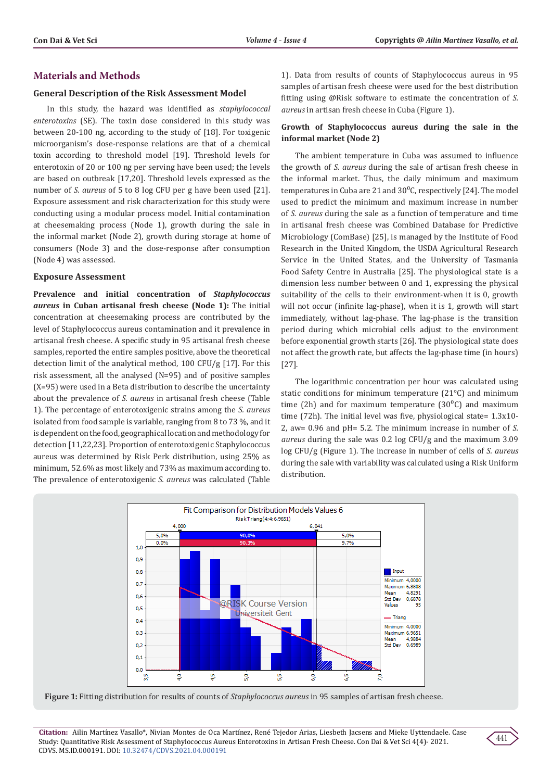### **Materials and Methods**

#### **General Description of the Risk Assessment Model**

In this study, the hazard was identified as *staphylococcal enterotoxins* (SE). The toxin dose considered in this study was between 20-100 ng, according to the study of [18]. For toxigenic microorganism's dose-response relations are that of a chemical toxin according to threshold model [19]. Threshold levels for enterotoxin of 20 or 100 ng per serving have been used; the levels are based on outbreak [17,20]. Threshold levels expressed as the number of *S. aureus* of 5 to 8 log CFU per g have been used [21]. Exposure assessment and risk characterization for this study were conducting using a modular process model. Initial contamination at cheesemaking process (Node 1), growth during the sale in the informal market (Node 2), growth during storage at home of consumers (Node 3) and the dose-response after consumption (Node 4) was assessed.

#### **Exposure Assessment**

**Prevalence and initial concentration of** *Staphylococcus aureus* **in Cuban artisanal fresh cheese (Node 1):** The initial concentration at cheesemaking process are contributed by the level of Staphylococcus aureus contamination and it prevalence in artisanal fresh cheese. A specific study in 95 artisanal fresh cheese samples, reported the entire samples positive, above the theoretical detection limit of the analytical method, 100 CFU/g [17]. For this risk assessment, all the analysed (N=95) and of positive samples (X=95) were used in a Beta distribution to describe the uncertainty about the prevalence of *S. aureus* in artisanal fresh cheese (Table 1). The percentage of enterotoxigenic strains among the *S. aureus* isolated from food sample is variable, ranging from 8 to 73 %, and it is dependent on the food, geographical location and methodology for detection [11,22,23]. Proportion of enterotoxigenic Staphylococcus aureus was determined by Risk Perk distribution, using 25% as minimum, 52.6% as most likely and 73% as maximum according to. The prevalence of enterotoxigenic *S. aureus* was calculated (Table

1). Data from results of counts of Staphylococcus aureus in 95 samples of artisan fresh cheese were used for the best distribution fitting using @Risk software to estimate the concentration of *S. aureus* in artisan fresh cheese in Cuba (Figure 1).

### **Growth of Staphylococcus aureus during the sale in the informal market (Node 2)**

The ambient temperature in Cuba was assumed to influence the growth of *S. aureus* during the sale of artisan fresh cheese in the informal market. Thus, the daily minimum and maximum temperatures in Cuba are 21 and  $30^{\circ}$ C, respectively [24]. The model used to predict the minimum and maximum increase in number of *S. aureus* during the sale as a function of temperature and time in artisanal fresh cheese was Combined Database for Predictive Microbiology (ComBase) [25], is managed by the Institute of Food Research in the United Kingdom, the USDA Agricultural Research Service in the United States, and the University of Tasmania Food Safety Centre in Australia [25]. The physiological state is a dimension less number between 0 and 1, expressing the physical suitability of the cells to their environment-when it is 0, growth will not occur (infinite lag-phase), when it is 1, growth will start immediately, without lag-phase. The lag-phase is the transition period during which microbial cells adjust to the environment before exponential growth starts [26]. The physiological state does not affect the growth rate, but affects the lag-phase time (in hours) [27].

The logarithmic concentration per hour was calculated using static conditions for minimum temperature (21°C) and minimum time (2h) and for maximum temperature (30 $^{\circ}$ C) and maximum time (72h). The initial level was five, physiological state= 1.3x10- 2, aw= 0.96 and pH= 5.2. The minimum increase in number of *S. aureus* during the sale was 0.2 log CFU/g and the maximum 3.09 log CFU/g (Figure 1). The increase in number of cells of *S. aureus* during the sale with variability was calculated using a Risk Uniform distribution.



**Figure 1:** Fitting distribution for results of counts of *Staphylococcus aureus* in 95 samples of artisan fresh cheese.

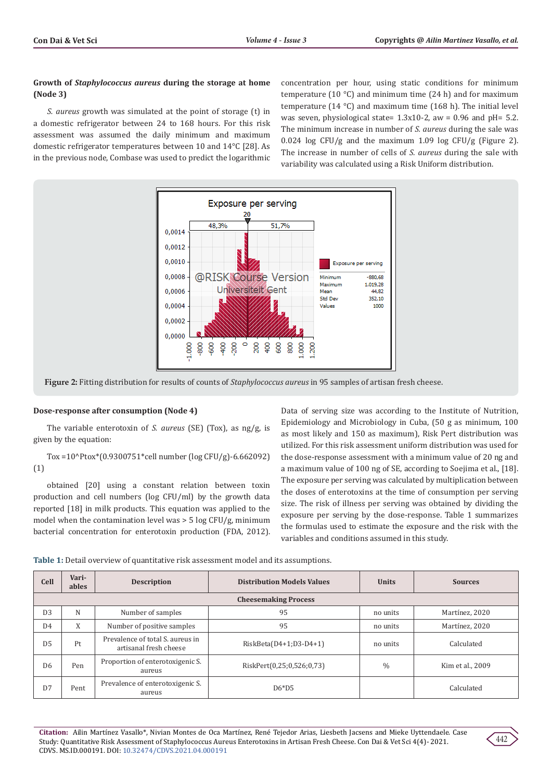### **Growth of** *Staphylococcus aureus* **during the storage at home (Node 3)**

*S. aureus* growth was simulated at the point of storage (t) in a domestic refrigerator between 24 to 168 hours. For this risk assessment was assumed the daily minimum and maximum domestic refrigerator temperatures between 10 and 14°C [28]. As in the previous node, Combase was used to predict the logarithmic

concentration per hour, using static conditions for minimum temperature (10  $^{\circ}$ C) and minimum time (24 h) and for maximum temperature (14 °C) and maximum time (168 h). The initial level was seven, physiological state=  $1.3x10-2$ , aw = 0.96 and pH= 5.2. The minimum increase in number of *S. aureus* during the sale was 0.024 log CFU/g and the maximum 1.09 log CFU/g (Figure 2). The increase in number of cells of *S. aureus* during the sale with variability was calculated using a Risk Uniform distribution.



**Figure 2:** Fitting distribution for results of counts of *Staphylococcus aureus* in 95 samples of artisan fresh cheese.

#### **Dose-response after consumption (Node 4)**

The variable enterotoxin of *S. aureus* (SE) (Tox), as ng/g, is given by the equation:

Tox =10^Ptox\*(0.9300751\*cell number (log CFU/g)-6.662092) (1)

obtained [20] using a constant relation between toxin production and cell numbers (log CFU/ml) by the growth data reported [18] in milk products. This equation was applied to the model when the contamination level was > 5 log CFU/g, minimum bacterial concentration for enterotoxin production (FDA, 2012).

Data of serving size was according to the Institute of Nutrition, Epidemiology and Microbiology in Cuba, (50 g as minimum, 100 as most likely and 150 as maximum), Risk Pert distribution was utilized. For this risk assessment uniform distribution was used for the dose-response assessment with a minimum value of 20 ng and a maximum value of 100 ng of SE, according to Soejima et al., [18]. The exposure per serving was calculated by multiplication between the doses of enterotoxins at the time of consumption per serving size. The risk of illness per serving was obtained by dividing the exposure per serving by the dose-response. Table 1 summarizes the formulas used to estimate the exposure and the risk with the variables and conditions assumed in this study.

| Table 1: Detail overview of quantitative risk assessment model and its assumptions. |  |
|-------------------------------------------------------------------------------------|--|
|-------------------------------------------------------------------------------------|--|

| <b>Cell</b>                 | Vari-<br>ables | <b>Description</b>                                         | <b>Distribution Models Values</b> | <b>Units</b>  | <b>Sources</b>   |  |  |
|-----------------------------|----------------|------------------------------------------------------------|-----------------------------------|---------------|------------------|--|--|
| <b>Cheesemaking Process</b> |                |                                                            |                                   |               |                  |  |  |
| D <sub>3</sub>              | N              | Number of samples                                          | 95                                | no units      | Martínez, 2020   |  |  |
| D <sub>4</sub>              | X              | Number of positive samples                                 | 95                                | no units      | Martínez. 2020   |  |  |
| D <sub>5</sub>              | Pt             | Prevalence of total S, aureus in<br>artisanal fresh cheese | $RiskBeta(D4+1;D3-D4+1)$          | no units      | Calculated       |  |  |
| D <sub>6</sub>              | Pen            | Proportion of enterotoxigenic S.<br>aureus                 | RiskPert(0,25;0,526;0,73)         | $\frac{0}{0}$ | Kim et al., 2009 |  |  |
| D7                          | Pent           | Prevalence of enterotoxigenic S.<br>aureus                 | $D6*D5$                           |               | Calculated       |  |  |

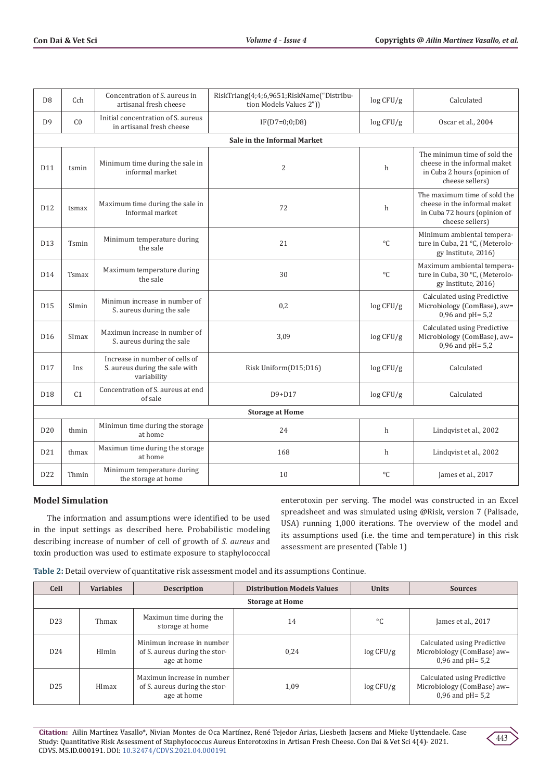| D <sub>8</sub>         | Cch                         | Concentration of S. aureus in<br>artisanal fresh cheese                         | RiskTriang(4;4;6,9651;RiskName("Distribu-<br>tion Models Values 2")) | log CFU/g   | Calculated                                                                                                      |  |  |  |
|------------------------|-----------------------------|---------------------------------------------------------------------------------|----------------------------------------------------------------------|-------------|-----------------------------------------------------------------------------------------------------------------|--|--|--|
| D <sub>9</sub>         | C <sub>0</sub>              | Initial concentration of S. aureus<br>in artisanal fresh cheese                 | $IF(D7=0;0;D8)$                                                      | log CFU/g   | Oscar et al., 2004                                                                                              |  |  |  |
|                        | Sale in the Informal Market |                                                                                 |                                                                      |             |                                                                                                                 |  |  |  |
| D11                    | tsmin                       | Minimum time during the sale in<br>informal market                              | $\overline{2}$                                                       | h           | The minimun time of sold the<br>cheese in the informal maket<br>in Cuba 2 hours (opinion of<br>cheese sellers)  |  |  |  |
| D <sub>12</sub>        | tsmax                       | Maximum time during the sale in<br>Informal market                              | 72                                                                   | h           | The maximum time of sold the<br>cheese in the informal maket<br>in Cuba 72 hours (opinion of<br>cheese sellers) |  |  |  |
| D <sub>13</sub>        | Tsmin                       | Minimum temperature during<br>the sale                                          | 21                                                                   | $^{\circ}C$ | Minimum ambiental tempera-<br>ture in Cuba, 21 °C, (Meterolo-<br>gy Institute, 2016)                            |  |  |  |
| D14                    | Tsmax                       | Maximum temperature during<br>the sale                                          | 30                                                                   | $^{\circ}C$ | Maximum ambiental tempera-<br>ture in Cuba, 30 °C, (Meterolo-<br>gy Institute, 2016)                            |  |  |  |
| D <sub>15</sub>        | SImin                       | Minimun increase in number of<br>S. aureus during the sale                      | 0,2                                                                  | log CFU/g   | Calculated using Predictive<br>Microbiology (ComBase), aw=<br>$0,96$ and pH= $5,2$                              |  |  |  |
| D <sub>16</sub>        | SImax                       | Maximun increase in number of<br>S. aureus during the sale                      | 3,09                                                                 | log CFU/g   | Calculated using Predictive<br>Microbiology (ComBase), aw=<br>$0,96$ and $pH = 5,2$                             |  |  |  |
| D <sub>17</sub>        | Ins                         | Increase in number of cells of<br>S. aureus during the sale with<br>variability | Risk Uniform(D15;D16)                                                | log CFU/g   | Calculated                                                                                                      |  |  |  |
| D18                    | C <sub>1</sub>              | Concentration of S. aureus at end<br>of sale                                    | D9+D17                                                               | log CFU/g   | Calculated                                                                                                      |  |  |  |
| <b>Storage at Home</b> |                             |                                                                                 |                                                                      |             |                                                                                                                 |  |  |  |
| D <sub>20</sub>        | thmin                       | Minimun time during the storage<br>at home                                      | 24                                                                   | h           | Lindqvist et al., 2002                                                                                          |  |  |  |
| D21                    | thmax                       | Maximun time during the storage<br>at home                                      | 168                                                                  | h           | Lindqvist et al., 2002                                                                                          |  |  |  |
| D <sub>22</sub>        | Thmin                       | Minimum temperature during<br>the storage at home                               | 10                                                                   | $^{\circ}C$ | James et al., 2017                                                                                              |  |  |  |

## **Model Simulation**

The information and assumptions were identified to be used in the input settings as described here. Probabilistic modeling describing increase of number of cell of growth of *S. aureus* and toxin production was used to estimate exposure to staphylococcal

enterotoxin per serving. The model was constructed in an Excel spreadsheet and was simulated using @Risk, version 7 (Palisade, USA) running 1,000 iterations. The overview of the model and its assumptions used (i.e. the time and temperature) in this risk assessment are presented (Table 1)

| Table 2: Detail overview of quantitative risk assessment model and its assumptions Continue. |  |
|----------------------------------------------------------------------------------------------|--|
|----------------------------------------------------------------------------------------------|--|

| <b>Cell</b>            | <b>Variables</b> | <b>Description</b>                                                         | <b>Distribution Models Values</b> | <b>Units</b> | <b>Sources</b>                                                                   |
|------------------------|------------------|----------------------------------------------------------------------------|-----------------------------------|--------------|----------------------------------------------------------------------------------|
| <b>Storage at Home</b> |                  |                                                                            |                                   |              |                                                                                  |
| D <sub>23</sub>        | Thmax            | Maximun time during the<br>storage at home                                 | 14                                | $^{\circ}C$  | James et al., 2017                                                               |
| D <sub>24</sub>        | HImin            | Minimun increase in number<br>of S. aureus during the stor-<br>age at home | 0.24                              | log CFU/g    | Calculated using Predictive<br>Microbiology (ComBase) aw=<br>0,96 and $pH = 5.2$ |
| D <sub>25</sub>        | HImax            | Maximun increase in number<br>of S. aureus during the stor-<br>age at home | 1,09                              | log CFU/g    | Calculated using Predictive<br>Microbiology (ComBase) aw=<br>$0,96$ and pH= 5,2  |

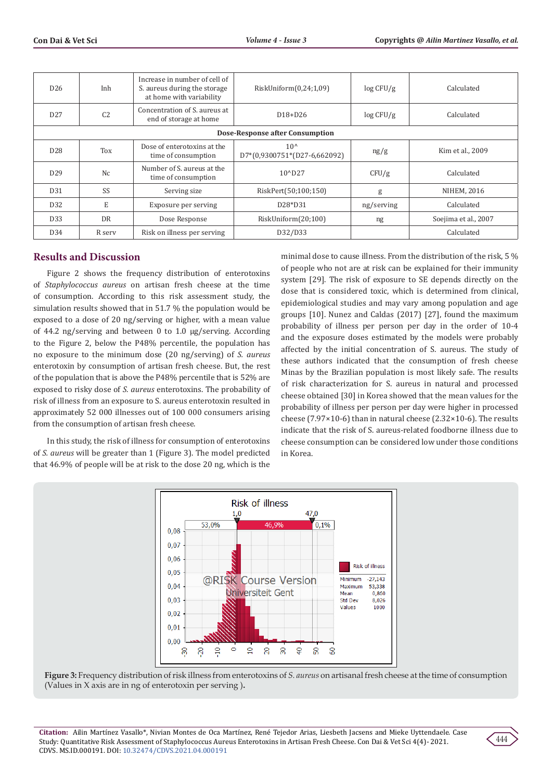| D <sub>26</sub>                 | Inh            | Increase in number of cell of<br>S. aureus during the storage<br>at home with variability | RiskUniform(0,24;1,09)                       | log CFU/g  | Calculated           |
|---------------------------------|----------------|-------------------------------------------------------------------------------------------|----------------------------------------------|------------|----------------------|
| D27                             | C <sub>2</sub> | Concentration of S. aureus at<br>end of storage at home                                   | $D18+D26$                                    | log CFU/g  | Calculated           |
| Dose-Response after Consumption |                |                                                                                           |                                              |            |                      |
| D <sub>28</sub>                 | Tox            | Dose of enterotoxins at the<br>time of consumption                                        | $10^{\circ}$<br>D7*(0,9300751*(D27-6,662092) | ng/g       | Kim et al., 2009     |
| D <sub>29</sub>                 | Nc             | Number of S. aureus at the<br>time of consumption                                         | $10^{\circ}$ D <sub>27</sub>                 | CFU/g      | Calculated           |
| D <sub>31</sub>                 | SS             | Serving size                                                                              | RiskPert(50;100;150)                         | g          | NIHEM, 2016          |
| D <sub>32</sub>                 | E              | Exposure per serving                                                                      | D <sub>28</sub> *D <sub>31</sub>             | ng/serving | Calculated           |
| D <sub>33</sub>                 | <b>DR</b>      | Dose Response                                                                             | RiskUniform(20;100)                          | ng         | Soejima et al., 2007 |
| D34                             | R serv         | Risk on illness per serving                                                               | D32/D33                                      |            | Calculated           |

# **Results and Discussion**

Figure 2 shows the frequency distribution of enterotoxins of *Staphylococcus aureus* on artisan fresh cheese at the time of consumption. According to this risk assessment study, the simulation results showed that in 51.7 % the population would be exposed to a dose of 20 ng/serving or higher, with a mean value of 44.2 ng/serving and between 0 to 1.0 µg/serving. According to the Figure 2, below the P48% percentile, the population has no exposure to the minimum dose (20 ng/serving) of *S. aureus* enterotoxin by consumption of artisan fresh cheese. But, the rest of the population that is above the P48% percentile that is 52% are exposed to risky dose of *S. aureus* enterotoxins. The probability of risk of illness from an exposure to S. aureus enterotoxin resulted in approximately 52 000 illnesses out of 100 000 consumers arising from the consumption of artisan fresh cheese.

In this study, the risk of illness for consumption of enterotoxins of *S. aureus* will be greater than 1 (Figure 3). The model predicted that 46.9% of people will be at risk to the dose 20 ng, which is the

minimal dose to cause illness. From the distribution of the risk, 5 % of people who not are at risk can be explained for their immunity system [29]. The risk of exposure to SE depends directly on the dose that is considered toxic, which is determined from clinical, epidemiological studies and may vary among population and age groups [10]. Nunez and Caldas (2017) [27], found the maximum probability of illness per person per day in the order of 10-4 and the exposure doses estimated by the models were probably affected by the initial concentration of S. aureus. The study of these authors indicated that the consumption of fresh cheese Minas by the Brazilian population is most likely safe. The results of risk characterization for S. aureus in natural and processed cheese obtained [30] in Korea showed that the mean values for the probability of illness per person per day were higher in processed cheese (7.97×10-6) than in natural cheese (2.32×10-6). The results indicate that the risk of S. aureus-related foodborne illness due to cheese consumption can be considered low under those conditions in Korea.



**Figure 3:** Frequency distribution of risk illness from enterotoxins of *S. aureus* on artisanal fresh cheese at the time of consumption (Values in X axis are in ng of enterotoxin per serving )**.**

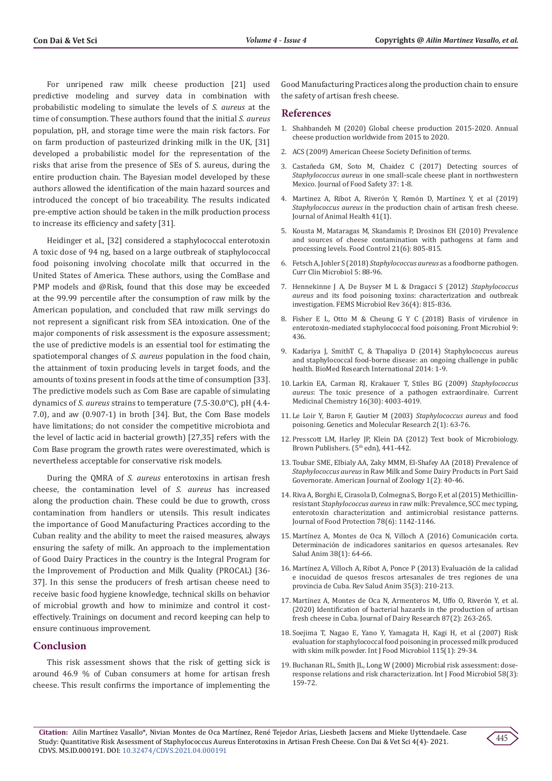For unripened raw milk cheese production [21] used predictive modeling and survey data in combination with probabilistic modeling to simulate the levels of *S. aureus* at the time of consumption. These authors found that the initial *S. aureus* population, pH, and storage time were the main risk factors. For on farm production of pasteurized drinking milk in the UK, [31] developed a probabilistic model for the representation of the risks that arise from the presence of SEs of S. aureus, during the entire production chain. The Bayesian model developed by these authors allowed the identification of the main hazard sources and introduced the concept of bio traceability. The results indicated pre-emptive action should be taken in the milk production process to increase its efficiency and safety [31].

Heidinger et al., [32] considered a staphylococcal enterotoxin A toxic dose of 94 ng, based on a large outbreak of staphylococcal food poisoning involving chocolate milk that occurred in the United States of America. These authors, using the ComBase and PMP models and @Risk, found that this dose may be exceeded at the 99.99 percentile after the consumption of raw milk by the American population, and concluded that raw milk servings do not represent a significant risk from SEA intoxication. One of the major components of risk assessment is the exposure assessment; the use of predictive models is an essential tool for estimating the spatiotemporal changes of *S. aureus* population in the food chain, the attainment of toxin producing levels in target foods, and the amounts of toxins present in foods at the time of consumption [33]. The predictive models such as Com Base are capable of simulating dynamics of *S. aureus* strains to temperature (7.5-30.0°C), pH (4.4- 7.0), and aw (0.907-1) in broth [34]. But, the Com Base models have limitations; do not consider the competitive microbiota and the level of lactic acid in bacterial growth) [27,35] refers with the Com Base program the growth rates were overestimated, which is nevertheless acceptable for conservative risk models.

During the QMRA of *S. aureus* enterotoxins in artisan fresh cheese, the contamination level of *S. aureus* has increased along the production chain. These could be due to growth, cross contamination from handlers or utensils. This result indicates the importance of Good Manufacturing Practices according to the Cuban reality and the ability to meet the raised measures, always ensuring the safety of milk. An approach to the implementation of Good Dairy Practices in the country is the Integral Program for the Improvement of Production and Milk Quality (PROCAL) [36- 37]. In this sense the producers of fresh artisan cheese need to receive basic food hygiene knowledge, technical skills on behavior of microbial growth and how to minimize and control it costeffectively. Trainings on document and record keeping can help to ensure continuous improvement.

### **Conclusion**

This risk assessment shows that the risk of getting sick is around 46.9 % of Cuban consumers at home for artisan fresh cheese. This result confirms the importance of implementing the Good Manufacturing Practices along the production chain to ensure the safety of artisan fresh cheese.

#### **References**

- 1. Shahbandeh M (2020) Global cheese production 2015-2020. Annual cheese production worldwide from 2015 to 2020.
- 2. ACS (2009) American Cheese Society Definition of terms.
- 3. Castañeda GM, Soto M, Chaidez C (2017) Detecting sources of *Staphylococcus aureus* in one small-scale cheese plant in northwestern Mexico. Journal of Food Safety 37: 1-8.
- 4. Martinez A, Ribot A, Riverón Y, Remón D, Martínez Y, et al (2019) *Staphylococcus aureus* in the production chain of artisan fresh cheese. Journal of Animal Health 41(1).
- 5. [Kousta M, Mataragas M, Skandamis P, Drosinos EH \(2010\) Prevalence](https://www.sciencedirect.com/science/article/abs/pii/S0956713509003235) [and sources of cheese contamination with pathogens at farm and](https://www.sciencedirect.com/science/article/abs/pii/S0956713509003235) [processing levels. Food Control 21\(6\): 805-815.](https://www.sciencedirect.com/science/article/abs/pii/S0956713509003235)
- 6. Fetsch A, Johler S (2018) *[Staphylococcus aureus](https://link.springer.com/article/10.1007/s40588-018-0094-x)* as a foodborne pathogen. [Curr Clin Microbiol 5: 88-96.](https://link.springer.com/article/10.1007/s40588-018-0094-x)
- 7. [Hennekinne J A, De Buyser M L & Dragacci S \(2012\)](https://pubmed.ncbi.nlm.nih.gov/22091892/) *Staphylococcus aureus* [and its food poisoning toxins: characterization and outbreak](https://pubmed.ncbi.nlm.nih.gov/22091892/) [investigation. FEMS Microbiol Rev 36\(4\): 815-836.](https://pubmed.ncbi.nlm.nih.gov/22091892/)
- 8. [Fisher E L, Otto M & Cheung G Y C \(2018\) Basis of virulence in](https://pubmed.ncbi.nlm.nih.gov/29662470/) [enterotoxin-mediated staphylococcal food poisoning. Front Microbiol 9:](https://pubmed.ncbi.nlm.nih.gov/29662470/) [436.](https://pubmed.ncbi.nlm.nih.gov/29662470/)
- 9. Kadariya J, SmithT C, & Thapaliya D (2014) Staphylococcus aureus and staphylococcal food-borne disease: an ongoing challenge in public health. BioMed Research International 2014: 1-9.
- 10. [Larkin EA, Carman RJ, Krakauer T, Stiles BG \(2009\)](https://pubmed.ncbi.nlm.nih.gov/19747126/) *Staphylococcus aureus*[: The toxic presence of a pathogen extraordinaire. Current](https://pubmed.ncbi.nlm.nih.gov/19747126/) [Medicinal Chemistry 16\(30\): 4003-4019.](https://pubmed.ncbi.nlm.nih.gov/19747126/)
- 11. [Le Loir Y, Baron F, Gautier M \(2003\)](https://pubmed.ncbi.nlm.nih.gov/12917803/) *Staphylococcus aureus* and food [poisoning. Genetics and Molecular Research 2\(1\): 63-76.](https://pubmed.ncbi.nlm.nih.gov/12917803/)
- 12. Presscott LM, Harley JP, Klein DA (2012) Text book of Microbiology. Brown Publishers. (5<sup>th</sup> edn), 441-442.
- 13. Toubar SME, Elbialy AA, Zaky MMM, El-Shafey AA (2018) Prevalence of *Staphylococcus aureus* in Raw Milk and Some Dairy Products in Port Said Governorate. American Journal of Zoology 1(2): 40-46.
- 14. [Riva A, Borghi E, Cirasola D, Colmegna S, Borgo F, et al \(2015\) Methicillin](https://pubmed.ncbi.nlm.nih.gov/26038904/)resistant *Staphylococcus aureus* [in raw milk: Prevalence, SCC mec typing,](https://pubmed.ncbi.nlm.nih.gov/26038904/) [enterotoxin characterization and antimicrobial resistance patterns.](https://pubmed.ncbi.nlm.nih.gov/26038904/) [Journal of Food Protection 78\(6\): 1142-1146.](https://pubmed.ncbi.nlm.nih.gov/26038904/)
- 15. [Martínez A, Montes de Oca N, Villoch A \(2016\) Comunicación corta.](http://scielo.sld.cu/scielo.php?script=sci_arttext&pid=S0253-570X2016000100011) [Determinación de indicadores sanitarios en quesos artesanales. Rev](http://scielo.sld.cu/scielo.php?script=sci_arttext&pid=S0253-570X2016000100011) [Salud Anim 38\(1\): 64-66.](http://scielo.sld.cu/scielo.php?script=sci_arttext&pid=S0253-570X2016000100011)
- 16. [Martínez A, Villoch A, Ribot A, Ponce P \(2013\) Evaluación de la calidad](http://scielo.sld.cu/scielo.php?script=sci_arttext&pid=S0253-570X2013000300011) [e inocuidad de quesos frescos artesanales de tres regiones de una](http://scielo.sld.cu/scielo.php?script=sci_arttext&pid=S0253-570X2013000300011) [provincia de Cuba. Rev Salud Anim 35\(3\): 210-213.](http://scielo.sld.cu/scielo.php?script=sci_arttext&pid=S0253-570X2013000300011)
- 17. Martínez A, Montes de Oca N, Armenteros M, Uffo O, Riverón Y, et al. (2020) Identification of bacterial hazards in the production of artisan fresh cheese in Cuba. Journal of Dairy Research 87(2): 263-265.
- 18. [Soejima T, Nagao E, Yano Y, Yamagata H, Kagi H, et al \(2007\) Risk](https://pubmed.ncbi.nlm.nih.gov/17125869/) [evaluation for staphylococcal food poisoning in processed milk produced](https://pubmed.ncbi.nlm.nih.gov/17125869/) [with skim milk powder. Int J Food Microbiol 115\(1\): 29-34.](https://pubmed.ncbi.nlm.nih.gov/17125869/)
- 19. [Buchanan RL, Smith JL, Long W \(2000\) Microbial risk assessment: dose](https://pubmed.ncbi.nlm.nih.gov/10939266/)[response relations and risk characterization. Int J Food Microbiol 58\(3\):](https://pubmed.ncbi.nlm.nih.gov/10939266/) [159-72.](https://pubmed.ncbi.nlm.nih.gov/10939266/)